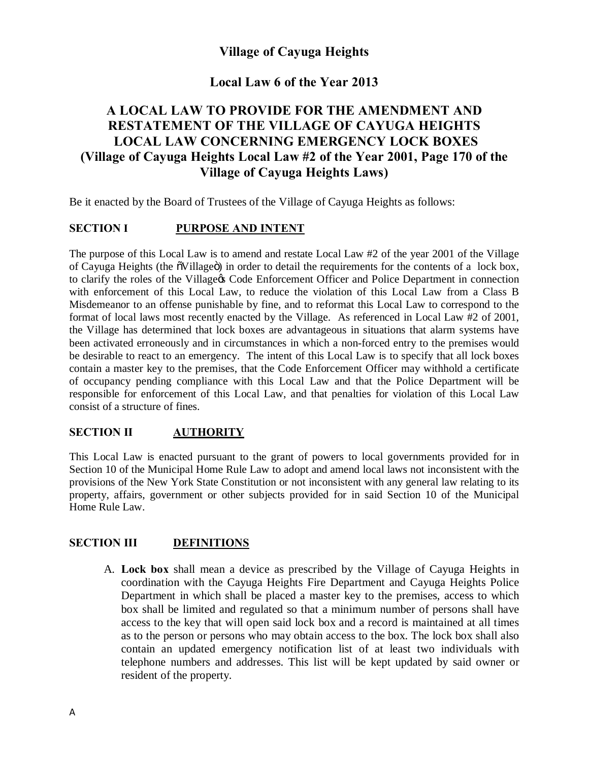# **Village of Cayuga Heights**

## **Local Law 6 of the Year 2013**

# **A LOCAL LAW TO PROVIDE FOR THE AMENDMENT AND RESTATEMENT OF THE VILLAGE OF CAYUGA HEIGHTS LOCAL LAW CONCERNING EMERGENCY LOCK BOXES (Village of Cayuga Heights Local Law #2 of the Year 2001, Page 170 of the Village of Cayuga Heights Laws)**

Be it enacted by the Board of Trustees of the Village of Cayuga Heights as follows:

## **SECTION I PURPOSE AND INTENT**

The purpose of this Local Law is to amend and restate Local Law #2 of the year 2001 of the Village of Cayuga Heights (the  $\delta$ Village $\ddot{\text{o}}$ ) in order to detail the requirements for the contents of a lock box, to clarify the roles of the Village & Code Enforcement Officer and Police Department in connection with enforcement of this Local Law, to reduce the violation of this Local Law from a Class B Misdemeanor to an offense punishable by fine, and to reformat this Local Law to correspond to the format of local laws most recently enacted by the Village. As referenced in Local Law #2 of 2001, the Village has determined that lock boxes are advantageous in situations that alarm systems have been activated erroneously and in circumstances in which a non-forced entry to the premises would be desirable to react to an emergency. The intent of this Local Law is to specify that all lock boxes contain a master key to the premises, that the Code Enforcement Officer may withhold a certificate of occupancy pending compliance with this Local Law and that the Police Department will be responsible for enforcement of this Local Law, and that penalties for violation of this Local Law consist of a structure of fines.

## **SECTION II AUTHORITY**

This Local Law is enacted pursuant to the grant of powers to local governments provided for in Section 10 of the Municipal Home Rule Law to adopt and amend local laws not inconsistent with the provisions of the New York State Constitution or not inconsistent with any general law relating to its property, affairs, government or other subjects provided for in said Section 10 of the Municipal Home Rule Law.

## **SECTION III DEFINITIONS**

A. **Lock box** shall mean a device as prescribed by the Village of Cayuga Heights in coordination with the Cayuga Heights Fire Department and Cayuga Heights Police Department in which shall be placed a master key to the premises, access to which box shall be limited and regulated so that a minimum number of persons shall have access to the key that will open said lock box and a record is maintained at all times as to the person or persons who may obtain access to the box. The lock box shall also contain an updated emergency notification list of at least two individuals with telephone numbers and addresses. This list will be kept updated by said owner or resident of the property.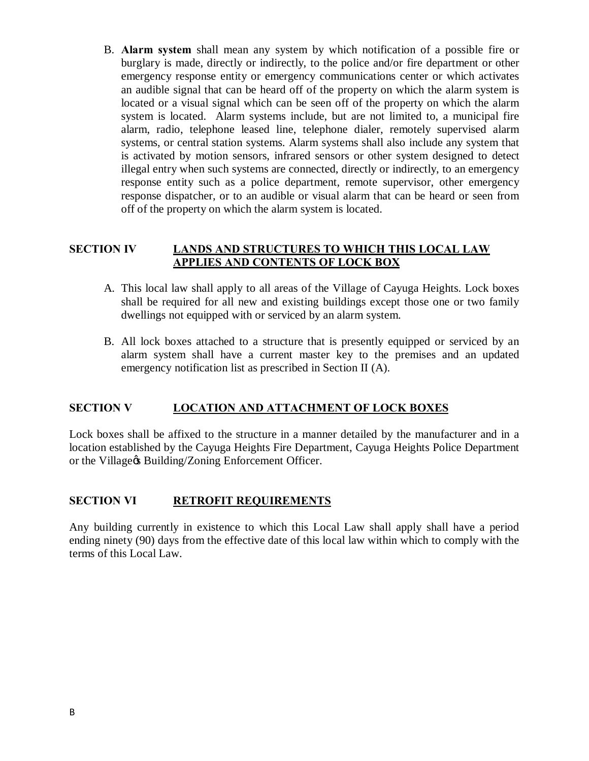B. **Alarm system** shall mean any system by which notification of a possible fire or burglary is made, directly or indirectly, to the police and/or fire department or other emergency response entity or emergency communications center or which activates an audible signal that can be heard off of the property on which the alarm system is located or a visual signal which can be seen off of the property on which the alarm system is located. Alarm systems include, but are not limited to, a municipal fire alarm, radio, telephone leased line, telephone dialer, remotely supervised alarm systems, or central station systems. Alarm systems shall also include any system that is activated by motion sensors, infrared sensors or other system designed to detect illegal entry when such systems are connected, directly or indirectly, to an emergency response entity such as a police department, remote supervisor, other emergency response dispatcher, or to an audible or visual alarm that can be heard or seen from off of the property on which the alarm system is located.

## **SECTION IV LANDS AND STRUCTURES TO WHICH THIS LOCAL LAW APPLIES AND CONTENTS OF LOCK BOX**

- A. This local law shall apply to all areas of the Village of Cayuga Heights. Lock boxes shall be required for all new and existing buildings except those one or two family dwellings not equipped with or serviced by an alarm system.
- B. All lock boxes attached to a structure that is presently equipped or serviced by an alarm system shall have a current master key to the premises and an updated emergency notification list as prescribed in Section II (A).

## **SECTION V LOCATION AND ATTACHMENT OF LOCK BOXES**

Lock boxes shall be affixed to the structure in a manner detailed by the manufacturer and in a location established by the Cayuga Heights Fire Department, Cayuga Heights Police Department or the Village& Building/Zoning Enforcement Officer.

## **SECTION VI RETROFIT REQUIREMENTS**

Any building currently in existence to which this Local Law shall apply shall have a period ending ninety (90) days from the effective date of this local law within which to comply with the terms of this Local Law.